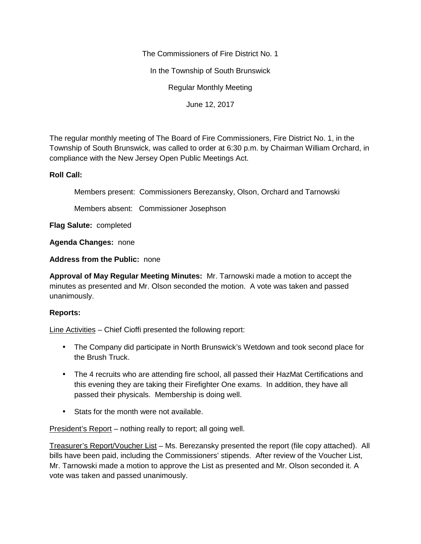The Commissioners of Fire District No. 1

In the Township of South Brunswick

Regular Monthly Meeting

June 12, 2017

The regular monthly meeting of The Board of Fire Commissioners, Fire District No. 1, in the Township of South Brunswick, was called to order at 6:30 p.m. by Chairman William Orchard, in compliance with the New Jersey Open Public Meetings Act.

## **Roll Call:**

Members present: Commissioners Berezansky, Olson, Orchard and Tarnowski

Members absent: Commissioner Josephson

**Flag Salute:** completed

**Agenda Changes:** none

**Address from the Public:** none

**Approval of May Regular Meeting Minutes:** Mr. Tarnowski made a motion to accept the minutes as presented and Mr. Olson seconded the motion. A vote was taken and passed unanimously.

## **Reports:**

Line Activities – Chief Cioffi presented the following report:

- The Company did participate in North Brunswick's Wetdown and took second place for the Brush Truck.
- The 4 recruits who are attending fire school, all passed their HazMat Certifications and this evening they are taking their Firefighter One exams. In addition, they have all passed their physicals. Membership is doing well.
- Stats for the month were not available.

President's Report – nothing really to report; all going well.

Treasurer's Report/Voucher List – Ms. Berezansky presented the report (file copy attached). All bills have been paid, including the Commissioners' stipends. After review of the Voucher List, Mr. Tarnowski made a motion to approve the List as presented and Mr. Olson seconded it. A vote was taken and passed unanimously.